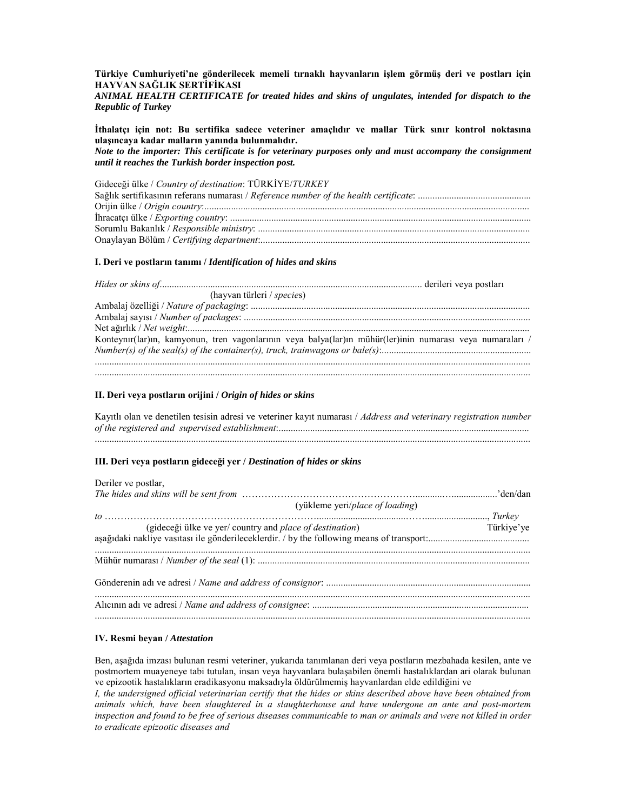Türkiye Cumhuriyeti'ne gönderilecek memeli tırnaklı hayvanların işlem görmüş deri ve postları için HAYVAN SAĞLIK SERTİFİKASI

ANIMAL HEALTH CERTIFICATE for treated hides and skins of ungulates, intended for dispatch to the **Republic of Turkey** 

İthalatçı için not: Bu sertifika sadece veteriner amaçlıdır ve mallar Türk sınır kontrol noktasına ulaşıncaya kadar malların yanında bulunmalıdır.

Note to the importer: This certificate is for veterinary purposes only and must accompany the consignment until it reaches the Turkish border inspection post.

Gideceği ülke / Country of destination: TÜRKİYE/TURKEY

## I. Deri ve postların tanımı / Identification of hides and skins

| (hayvan türleri / species) |                                                                                                           |
|----------------------------|-----------------------------------------------------------------------------------------------------------|
|                            |                                                                                                           |
|                            |                                                                                                           |
|                            |                                                                                                           |
|                            | Konteynır(lar)ın, kamyonun, tren vagonlarının veya balya(lar)ın mühür(ler)inin numarası veya numaraları / |
|                            |                                                                                                           |
|                            |                                                                                                           |
|                            |                                                                                                           |

## II. Deri veya postların orijini / Origin of hides or skins

Kayıtlı olan ve denetilen tesisin adresi ve veteriner kayıt numarası / Address and veterinary registration number 

## III. Deri veya postların gideceği yer / Destination of hides or skins

| Deriler ve postlar,                                             |            |
|-----------------------------------------------------------------|------------|
|                                                                 |            |
| (yükleme yeri/place of loading)                                 |            |
|                                                                 |            |
| (gideceği ülke ve yer/country and <i>place of destination</i> ) | Türkiye'ye |
|                                                                 |            |
|                                                                 |            |
|                                                                 |            |
|                                                                 |            |
|                                                                 |            |
|                                                                 |            |
|                                                                 |            |
|                                                                 |            |

## IV. Resmi bevan / Attestation

Ben, asağıda imzası bulunan resmi veteriner, yukarıda tanımlanan deri veya postların mezbahada kesilen, ante ve postmortem muayeneye tabi tutulan, insan veya hayvanlara bulaşabilen önemli hastalıklardan ari olarak bulunan ve epizootik hastalıkların eradikasyonu maksadıyla öldürülmemiş hayvanlardan elde edildiğini ve

I, the undersigned official veterinarian certify that the hides or skins described above have been obtained from animals which, have been slaughtered in a slaughterhouse and have undergone an ante and post-mortem inspection and found to be free of serious diseases communicable to man or animals and were not killed in order to eradicate epizootic diseases and